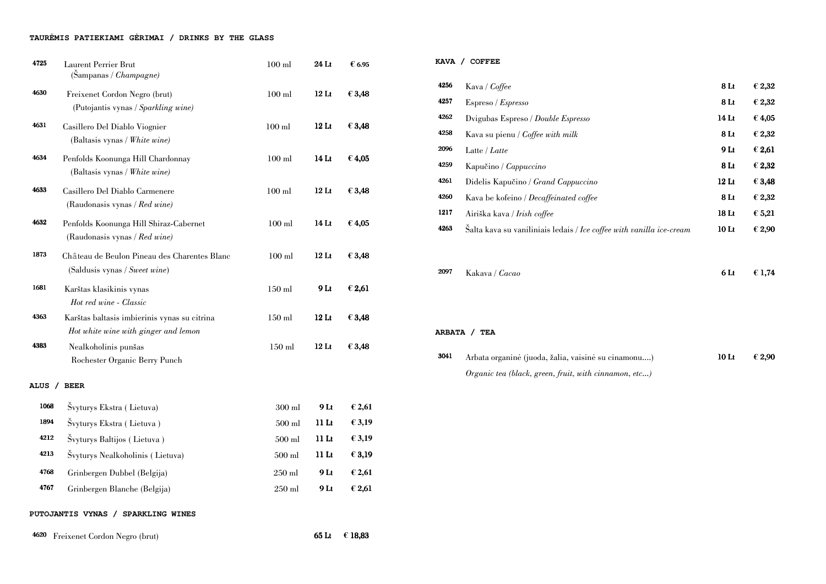# **TAUR**Ė**MIS PATIEKIAMI G**Ė**RIMAI / DRINKS BY THE GLASS**

| 4725        | <b>Laurent Perrier Brut</b><br>(Sanpanas / <i>Champagne</i> )                        | $100$ ml       | 24 Lt            | € 6.95 |
|-------------|--------------------------------------------------------------------------------------|----------------|------------------|--------|
| 4630        | Freixenet Cordon Negro (brut)<br>(Putojantis vynas / Sparkling wine)                 | $100$ ml       | $12$ Lt          | € 3,48 |
| 4631        | Casillero Del Diablo Viognier<br>(Baltasis vynas / White wine)                       | $100$ ml       | $12$ Lt          | € 3,48 |
| 4634        | Penfolds Koonunga Hill Chardonnay<br>(Baltasis vynas / White wine)                   | $100$ ml       | 14 Lt            | € 4,05 |
| 4633        | Casillero Del Diablo Carmenere<br>(Raudonasis vynas / $Red$ wine)                    | $100$ ml       | $12$ Lt          | € 3,48 |
| 4632        | Penfolds Koonunga Hill Shiraz-Cabernet<br>(Raudonasis vynas / Red wine)              | $100$ ml       | 14 Lt            | € 4,05 |
| 1873        | Château de Beulon Pineau des Charentes Blanc<br>(Saldusis vynas / Sweet wine)        | $100$ ml       | $12$ Lt          | € 3,48 |
| 1681        | Karštas klasikinis vynas<br>Hot red wine - Classic                                   | $150$ ml       | 9 <sub>Lt</sub>  | € 2,61 |
| 4363        | Karštas baltasis imbierinis vynas su citrina<br>Hot white wine with ginger and lemon | $150$ ml       | 12 <sub>Lt</sub> | € 3,48 |
| 4383        | Nealkoholinis punšas<br>Rochester Organic Berry Punch                                | $150$ ml       | $12$ Lt          | € 3,48 |
| <b>ALUS</b> | <b>BEER</b>                                                                          |                |                  |        |
| 1068        | Švyturys Ekstra (Lietuva)                                                            | $300$ ml       | 9 <sub>Lt</sub>  | €2,61  |
| 1894        | Švyturys Ekstra (Lietuva)                                                            | $500$ ml       | 11 <sub>Lt</sub> | € 3,19 |
| 4212        | Švyturys Baltijos (Lietuva)                                                          | $500$ $\rm ml$ | 11 <sub>Lt</sub> | € 3,19 |
| 4213        | Švyturys Nealkoholinis (Lietuva)                                                     | $500$ ml       | 11 <sub>Lt</sub> | €3,19  |
| 4768        | Grinbergen Dubbel (Belgija)                                                          | $250$ ml       | 9 <sub>Lt</sub>  | €2,61  |

3041 Arbata organinė (juoda, žalia, vaisinė su cinan Organic tea (black, green, fruit, with cinnamon, etc...)

<sup>4767</sup>Grinbergen Blanche (Belgija) 250 ml 9 Lt **€** 2,61

# **PUTOJANTIS VYNAS / SPARKLING WINES**

<sup>4620</sup>Freixenet Cordon Negro (brut) 65 Lt **€** 18,83

|      | KAVA / COFFEE                                                        |
|------|----------------------------------------------------------------------|
| 4256 | Kava / <i>Coffee</i>                                                 |
| 4257 | Espreso/Espresso                                                     |
| 4262 | Dvigubas Espreso / Double Espresso                                   |
| 4258 | Kava su pienu / Coffee with milk                                     |
| 2096 | Latte / Latte                                                        |
| 4259 | Kapučino / <i>Cappuccino</i>                                         |
| 4261 | Didelis Kapučino / Grand Cappuccino                                  |
| 4260 | Kava be kofeino / Decaffeinated coffee                               |
| 1217 | Airiška kava / Irish coffee                                          |
| 4263 | Salta kava su vaniliniais ledais / Ice coffee with vanilla ice-cream |
|      |                                                                      |

| .<br>ee                                                          | 8Lt              | €2,32           |
|------------------------------------------------------------------|------------------|-----------------|
| 'spresso                                                         | 8Lt              | €2,32           |
| $\Sigma$ spreso / $Double$ Espresso                              | 14 <sub>Lt</sub> | €4,05           |
| enu / <i>Coffee with milk</i>                                    | 8Lt              | €2,32           |
|                                                                  | 9 <sub>Lt</sub>  | € 2,61          |
| Cappuccino                                                       | 8 Lt             | €2,32           |
| oučino / <i>Grand Cappuccino</i>                                 | 12 <sub>Lt</sub> | € 3,48          |
| feino / Decaffeinated coffee                                     | 8 Lt             | €2,32           |
| a / Irish coffee                                                 | 18 <sub>Lt</sub> | $\epsilon$ 5,21 |
| su vaniliniais ledais / <i>Ice coffee with vanilla ice-cream</i> | 10 <sub>Lt</sub> | € 2,90          |
|                                                                  |                  |                 |

 $\sigma$  6 Lt  $\epsilon$  1,74

2097 Kakava / Cacao

**ARBATA / TEA** 

| nonu)     | $10$ Lt | $\epsilon$ 2,90 |
|-----------|---------|-----------------|
| $n$ oto 1 |         |                 |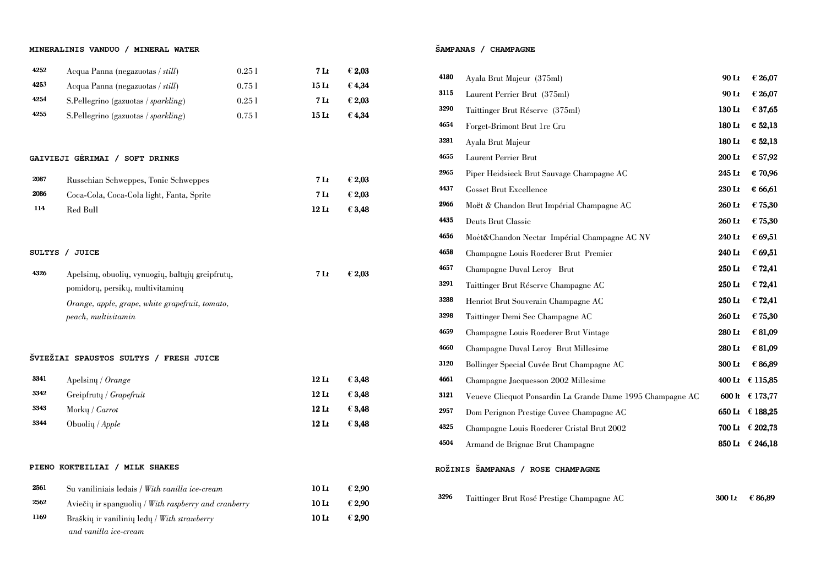#### **MINERALINIS VANDUO / MINERAL WATER**

| 4252          | Acqua Panna (negazuotas / still)                                                     | 0.251  | 7 <sub>It</sub>  | € 2,03 |
|---------------|--------------------------------------------------------------------------------------|--------|------------------|--------|
| 4253          | Acqua Panna (negazuotas / still)                                                     | 0.751  | 15 <sub>Lt</sub> | €4,34  |
| 4254          | S.Pellegrino (gazuotas / sparkling)                                                  | 0.251  | 7 <sub>It</sub>  | € 2,03 |
| 4255          | S. Pellegrino (gazuotas / sparkling)                                                 | 0.75 l | 15 <sub>Lt</sub> | €4,34  |
|               |                                                                                      |        |                  |        |
|               | GAIVIEJI GERIMAI / SOFT DRINKS                                                       |        |                  |        |
| 2087          | Russchian Schweppes, Tonic Schweppes                                                 |        | 7 <sub>It</sub>  | € 2,03 |
| 2086          | Coca-Cola, Coca-Cola light, Fanta, Sprite                                            |        | 7 <sub>Lt</sub>  | €2,03  |
| 114           | Red Bull                                                                             |        | 12 <sub>Lt</sub> | € 3,48 |
|               |                                                                                      |        |                  |        |
| <b>SULTYS</b> | / JUICE                                                                              |        |                  |        |
| 4326          | Apelsinų, obuolių, vynuogių, baltųjų greipfrutų,<br>pomidorų, persikų, multivitaminų |        | 7 <sub>It</sub>  | € 2,03 |
|               | Orange, apple, grape, white grapefruit, tomato,<br>peach, multivitamin               |        |                  |        |
|               | ŠVIEŽIAI SPAUSTOS SULTYS<br><b>FRESH JUICE</b><br>$\prime$                           |        |                  |        |
| 3341          | Apelsiny / Orange                                                                    |        | $12$ Lt          | € 3,48 |
| 3342          | Greipfruty / Grapefruit                                                              |        | 12 <sub>Lt</sub> | € 3,48 |
| 3343          | Morky / $Carrot$                                                                     |        | $12$ Lt          | € 3,48 |
| 3344          | Obuolių / Apple                                                                      |        | 12 <sub>Lt</sub> | € 3,48 |
|               |                                                                                      |        |                  |        |
|               | PIENO KOKTEILIAI / MILK SHAKES                                                       |        |                  |        |
| 2561          | Su vaniliniais ledais / With vanilla ice-cream                                       |        | 10 <sub>Li</sub> | € 2,90 |
| 2562          | Aviečių ir spanguolių / With raspberry and cranberry                                 |        | 10 <sub>Lt</sub> | € 2,90 |
| 1169          | Braškių ir vanilinių ledų / With strawberry<br>and vanilla ice-cream                 |        | 10 <sub>Lt</sub> | € 2,90 |

# **ŠAMPANAS / CHAMPAGNE**

| 4180 | Ayala Brut Majeur (375ml)                                  | 90 Lt  | € 26,07         |
|------|------------------------------------------------------------|--------|-----------------|
| 3115 | Laurent Perrier Brut (375ml)                               | 90 Lt  | € 26,07         |
| 3290 | Taittinger Brut Réserve (375ml)                            | 130 Lt | € 37,65         |
| 4654 | Forget-Brimont Brut 1re Cru                                | 180 Lt | € 52,13         |
| 3281 | Ayala Brut Majeur                                          | 180 Lt | € 52,13         |
| 4655 | <b>Laurent Perrier Brut</b>                                | 200 Lt | € 57,92         |
| 2965 | Piper Heidsieck Brut Sauvage Champagne AC                  | 245 Lt | € 70,96         |
| 4437 | <b>Gosset Brut Excellence</b>                              | 230 Lt | € 66,61         |
| 2966 | Moët & Chandon Brut Impérial Champagne AC                  | 260 Lt | € 75,30         |
| 4435 | <b>Deuts Brut Classic</b>                                  | 260 Lt | € 75,30         |
| 4656 | Moėt&Chandon Nectar Impérial Champagne AC NV               | 240 Lt | € 69,51         |
| 4658 | Champagne Louis Roederer Brut Premier                      | 240 Lt | € 69,51         |
| 4657 | Champagne Duval Leroy Brut                                 | 250 Lt | € 72,41         |
| 3291 | Taittinger Brut Réserve Champagne AC                       | 250 Lt | € 72,41         |
| 3288 | Henriot Brut Souverain Champagne AC                        | 250 Lt | € 72,41         |
| 3298 | Taittinger Demi Sec Champagne AC                           | 260 Lt | € 75,30         |
| 4659 | Champagne Louis Roederer Brut Vintage                      | 280 Lt | € 81,09         |
| 4660 | Champagne Duval Leroy Brut Millesime                       | 280 Lt | € 81,09         |
| 3120 | Bollinger Special Cuvée Brut Champagne AC                  | 300 Lt | € 86,89         |
| 4661 | Champagne Jacquesson 2002 Millesime                        |        | 400 Lt € 115,85 |
| 3121 | Veueve Clicquot Ponsardin La Grande Dame 1995 Champagne AC |        | 600 lt € 173,77 |
| 2957 | Dom Perignon Prestige Cuvee Champagne AC                   | 650 Lt | € 188,25        |
| 4325 | Champagne Louis Roederer Cristal Brut 2002                 |        | 700 Lt € 202,73 |
| 4504 | Armand de Brignac Brut Champagne                           |        | 850 Lt € 246,18 |
|      | ROŽINIS ŠAMPANAS / ROSE CHAMPAGNE                          |        |                 |
| 3296 | Taittinger Brut Rosé Prestige Champagne AC                 | 300 Lt | € 86,89         |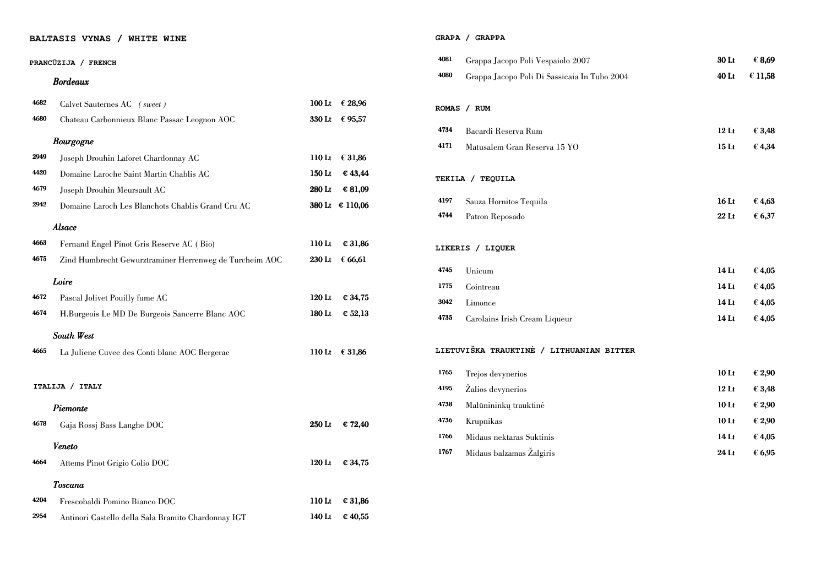# **BALTASIS VYNAS / WHITE WINE**

# **PRANC**Ū**ZIJA / FRENCH**

|      | PRANCŪZIJA / FRENCH                                     |          |                         | 4081    | Grappa Jacopo Poli Vespaiolo 2007            | 30 Lt            | € 8,69  |
|------|---------------------------------------------------------|----------|-------------------------|---------|----------------------------------------------|------------------|---------|
|      | <b>Bordeaux</b>                                         |          |                         | 4080    | Grappa Jacopo Poli Di Sassicaia In Tubo 2004 | 40 Lt            | € 11,58 |
| 4682 | Calvet Sauternes AC (sweet)                             |          | 100 Lt $\in$ 28,96      | ROMAS / | <b>RUM</b>                                   |                  |         |
| 4680 | Chateau Carbonnieux Blanc Passac Leognon AOC            |          | 330 Lt € 95,57          |         |                                              |                  |         |
|      | <b>Bourgogne</b>                                        |          |                         | 4734    | Bacardi Reserva Rum                          | $12$ Lt          | € 3,48  |
| 2949 | Joseph Drouhin Laforet Chardonnay AC                    |          | 110 Lt $\in$ 31,86      | 4171    | Matusalem Gran Reserva 15 YO                 | 15 <sub>Lt</sub> | € 4,34  |
| 4420 | Domaine Laroche Saint Martin Chablis AC                 | $150$ Lt | $\epsilon$ 43,44        |         |                                              |                  |         |
| 4679 | Joseph Drouhin Meursault AC                             | 280 Lt   | $\epsilon$ 81,09        |         | TEKILA / TEQUILA                             |                  |         |
| 2942 | Domaine Laroch Les Blanchots Chablis Grand Cru AC       |          | 380 Lt € 110,06         | 4197    | Sauza Hornitos Tequila                       | $16$ Lt          | €4,63   |
|      |                                                         |          |                         | 4744    | Patron Reposado                              | $22$ Lt          | € 6,37  |
|      | Alsace                                                  |          |                         |         |                                              |                  |         |
| 4663 | Fernand Engel Pinot Gris Reserve AC (Bio)               | $110$ Lt | € 31,86                 |         | LIKERIS / LIQUER                             |                  |         |
| 4675 | Zind Humbrecht Gewurztraminer Herrenweg de Turcheim AOC |          | 230 Lt $\epsilon$ 66,61 |         |                                              |                  |         |
|      | Loire                                                   |          |                         | 4745    | Unicum                                       | 14 Lt            | € 4,05  |
| 4672 | Pascal Jolivet Pouilly fume AC                          | $120$ Lt | € 34,75                 | 1775    | Cointreau                                    | 14 <sub>Lt</sub> | € 4,05  |
| 4674 |                                                         | $180$ Lt | $\epsilon$ 52,13        | 3042    | Limonce                                      | $14$ Lt          | € 4,05  |
|      | H.Burgeois Le MD De Burgeois Sancerre Blanc AOC         |          |                         | 4735    | Carolains Irish Cream Liqueur                | 14 Lt            | € 4,05  |
|      | South West                                              |          |                         |         |                                              |                  |         |
| 4665 | La Juliene Cuvee des Conti blanc AOC Bergerac           |          | 110 Lt $\in$ 31,86      |         | LIETUVIŠKA TRAUKTINĖ / LITHUANIAN BITTER     |                  |         |
|      |                                                         |          |                         | 1765    | Trejos devynerios                            | 10 <sub>Lt</sub> | € 2,90  |
|      | ITALIJA / ITALY                                         |          |                         | 4195    | Žalios devynerios                            | $12$ Lt          | € 3,48  |
|      | Piemonte                                                |          |                         | 4738    | Malūnininkų trauktinė                        | 10 <sub>Lt</sub> | € 2,90  |
| 4678 | Gaja Rossj Bass Langhe DOC                              |          | 250 Lt $\in$ 72,40      | 4736    | Krupnikas                                    | 10 <sub>Lt</sub> | € 2,90  |
|      |                                                         |          |                         | 1766    | Midaus nektaras Suktinis                     | 14 <sub>Li</sub> | € 4,05  |
|      | Veneto                                                  |          |                         | 1767    | Midaus balzamas Žalgiris                     | 24 Lt            | € 6,95  |
| 4664 | Attems Pinot Grigio Colio DOC                           |          | 120 Lt $\in$ 34,75      |         |                                              |                  |         |
|      | <b>Toscana</b>                                          |          |                         |         |                                              |                  |         |
| 4204 | Frescobaldi Pomino Bianco DOC                           |          | 110 Lt $\in$ 31,86      |         |                                              |                  |         |
| 2954 | Antinori Castello della Sala Bramito Chardonnay IGT     | 140 Lt   | $\epsilon$ 40,55        |         |                                              |                  |         |

# **GRAPA / GRAPPA**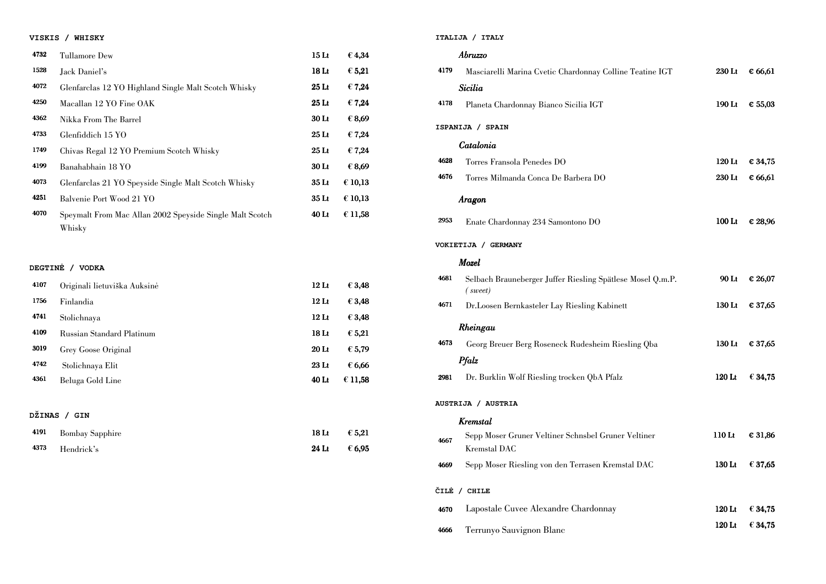# **VISKIS / WHISKY**

| 4732 | Tullamore Dew                                                      | 15 <sub>Lt</sub> | € 4,34          |
|------|--------------------------------------------------------------------|------------------|-----------------|
| 1528 | Jack Daniel's                                                      | 18 <sub>Lt</sub> | $\epsilon$ 5,21 |
| 4072 | Glenfarclas 12 YO Highland Single Malt Scotch Whisky               | $25$ Lt          | €7,24           |
| 4250 | Macallan 12 YO Fine OAK                                            | 25 <sub>Lt</sub> | €7,24           |
| 4362 | Nikka From The Barrel                                              | 30 <sub>Lt</sub> | € 8,69          |
| 4733 | Glenfiddich 15 YO                                                  | $25$ Lt          | $\epsilon$ 7,24 |
| 1749 | Chivas Regal 12 YO Premium Scotch Whisky                           | 25 <sub>Lt</sub> | $\epsilon$ 7,24 |
| 4199 | Banahabhain 18 YO                                                  | 30 <sub>Lt</sub> | € 8,69          |
| 4073 | Glenfarclas 21 YO Speyside Single Malt Scotch Whisky               | 35 <sub>Lt</sub> | € 10,13         |
| 4251 | Balvenie Port Wood 21 YO                                           | 35 <sub>Lt</sub> | € 10,13         |
| 4070 | Speymalt From Mac Allan 2002 Speyside Single Malt Scotch<br>Whisky | 40 <sub>Lt</sub> | € 11,58         |

|      | Abruzzo                                                                    |          |         |
|------|----------------------------------------------------------------------------|----------|---------|
| 4179 | Masciarelli Marina Cvetic Chardonnay Colline Teatine IGT                   | 230 Lt   | € 66,61 |
|      | Sicilia                                                                    |          |         |
| 4178 | Planeta Chardonnay Bianco Sicilia IGT                                      | 190 Lt   | € 55,03 |
|      | ISPANIJA / SPAIN                                                           |          |         |
|      | Catalonia                                                                  |          |         |
| 4628 | Torres Fransola Penedes DO                                                 | $120$ Lt | € 34,75 |
| 4676 | Torres Milmanda Conca De Barbera DO                                        | 230 Lt   | € 66,61 |
|      | Aragon                                                                     |          |         |
| 2953 | Enate Chardonnay 234 Samontono DO                                          | $100$ Lt | € 28,96 |
|      | VOKIETIJA / GERMANY                                                        |          |         |
|      | <b>Mozel</b>                                                               |          |         |
| 4681 | Selbach Brauneberger Juffer Riesling Spätlese Mosel Q.m.P.<br>(sweet)      | 90 Lt    | € 26,07 |
| 4671 | Dr. Loosen Bernkasteler Lay Riesling Kabinett                              | 130 Lt   | € 37,65 |
|      | Rheingau                                                                   |          |         |
| 4673 | Georg Breuer Berg Roseneck Rudesheim Riesling Qba                          | 130 Lt   | € 37,65 |
|      | Pfalz                                                                      |          |         |
| 2981 | Dr. Burklin Wolf Riesling trocken QbA Pfalz                                | 120 Lt   | € 34,75 |
|      | AUSTRIJA / AUSTRIA                                                         |          |         |
|      | Kremstal                                                                   |          |         |
| 4667 | Sepp Moser Gruner Veltiner Schnsbel Gruner Veltiner<br><b>Kremstal DAC</b> | $110$ Lt | € 31,86 |
| 4669 | Sepp Moser Riesling von den Terrasen Kremstal DAC                          | 130 Lt   | € 37,65 |
|      | ČILĖ / CHILE                                                               |          |         |
| 4670 | Lapostale Cuvee Alexandre Chardonnay                                       | 120 Lt   | € 34,75 |

# **DEGTIN**Ė **/ VODKA**

| 4107   | Originali lietuviška Auksinė | 12 <sub>Li</sub> | $\epsilon$ 3,48 |
|--------|------------------------------|------------------|-----------------|
| 1756   | Finlandia                    | 12 <sub>Lt</sub> | € 3,48          |
| 4741   | Stolichnaya                  | 12 <sub>Lt</sub> | € 3,48          |
| 4109   | Russian Standard Platinum    | 18 <sub>Lt</sub> | $\epsilon$ 5,21 |
| 3019   | Grey Goose Original          | 20 <sub>Lt</sub> | € 5,79          |
| 4742   | Stolichnaya Elit             | $23$ Lt          | € 6,66          |
| 4361   | Beluga Gold Line             | 40 <sub>Lt</sub> | € 11,58         |
|        |                              |                  |                 |
| DŽINAS | <b>GIN</b>                   |                  |                 |

| 4191 Bombay Sapphire | 18 Lt $\epsilon$ 5,21 |
|----------------------|-----------------------|
| 4373 Hendrick's      | 24 Lt $\epsilon$ 6,95 |

**ITALIJA / ITALY** 

4666 Terrunyo Sauvignon Blanc

| Chardonnay Colline Teatine IGT   | 230 Lt € 66,61          |
|----------------------------------|-------------------------|
| Sicilia IGT                      | 190 Lt $\in$ 55,03      |
|                                  |                         |
| $\overline{O}$                   | 120 Lt € 34,75          |
| Barbera DO                       | 230 Lt € 66,61          |
| 10 nontono                       | 100 Lt € 28,96          |
|                                  |                         |
|                                  |                         |
| r Riesling Spätlese Mosel Q.m.P. | 90 Lt € 26,07           |
| y Riesling Kabinett              | 130 Lt € 37,65          |
| ck Rudesheim Riesling Qba        | 130 Lt $\in$ 37,65      |
| rocken QbA Pfalz                 | 120 Lt $\epsilon$ 34,75 |
|                                  |                         |
| r Schnsbel Gruner Veltiner       | 110 Lt $\in$ 31,86      |
| en Terrasen Kremstal DAC         | 130 Lt $\in$ 37,65      |
|                                  |                         |
| re Chardonnay                    | 120 Lt $\epsilon$ 34,75 |
| C                                | 120 Lt $\epsilon$ 34,75 |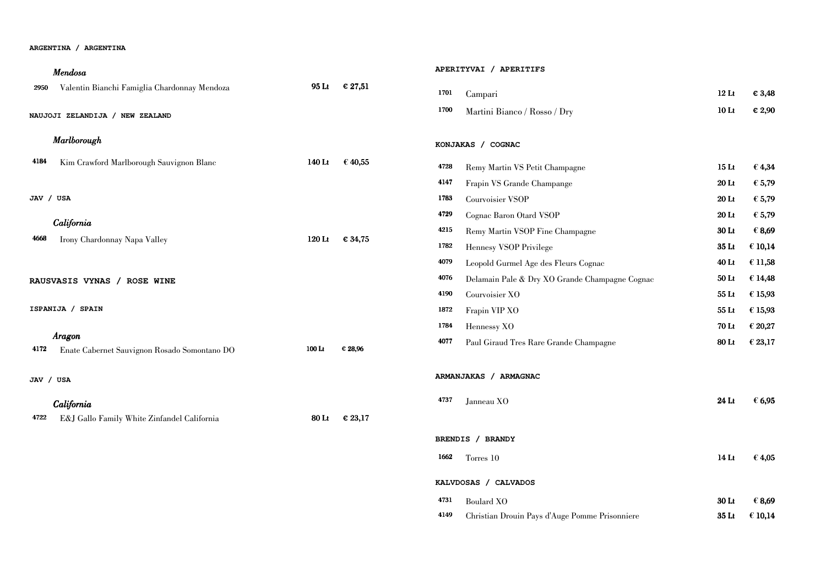#### **ARGENTINA / ARGENTINA**

|   | 12 Lt $\epsilon$ 3,48 |
|---|-----------------------|
| y | 10 Lt $\epsilon$ 2,90 |

| Mendosa                                                        |                   |                  | APERITYVAI / APERITIFS                                 |                  |                 |  |  |
|----------------------------------------------------------------|-------------------|------------------|--------------------------------------------------------|------------------|-----------------|--|--|
| Valentin Bianchi Famiglia Chardonnay Mendoza<br>2950           | 95 Lt             | $\epsilon$ 27,51 | 1701<br>Campari                                        | 12 <sub>Lt</sub> | $\epsilon$ 3,48 |  |  |
| NAUJOJI ZELANDIJA / NEW ZEALAND                                |                   |                  | 1700<br>Martini Bianco / Rosso / Dry                   | 10 <sub>It</sub> | € 2,90          |  |  |
| Marlborough                                                    |                   |                  | KONJAKAS / COGNAC                                      |                  |                 |  |  |
| 4184<br>Kim Crawford Marlborough Sauvignon Blanc               | $140$ Lt          | € 40,55          | 4728<br>Remy Martin VS Petit Champagne                 | 15 <sub>Lt</sub> | $\epsilon$ 4,34 |  |  |
|                                                                |                   |                  | 4147<br>Frapin VS Grande Champange                     | $20$ Lt          | € 5,79          |  |  |
| JAV / USA                                                      |                   |                  | 1783<br>Courvoisier VSOP                               | 20 Lt            | € 5,79          |  |  |
|                                                                |                   |                  | 4729<br>Cognac Baron Otard VSOP                        | $20$ Lt          | € 5,79          |  |  |
| California                                                     |                   |                  | 4215<br>Remy Martin VSOP Fine Champagne                | 30 Lt            | € 8,69          |  |  |
| Irony Chardonnay Napa Valley<br>4668                           | $120$ Lt          | € 34,75          | 1782<br>Hennesy VSOP Privilege                         | 35 Lt            | € 10,14         |  |  |
|                                                                |                   |                  | 4079<br>Leopold Gurmel Age des Fleurs Cognac           | 40 Lt            | € 11,58         |  |  |
| RAUSVASIS VYNAS / ROSE WINE                                    |                   |                  | 4076<br>Delamain Pale & Dry XO Grande Champagne Cognac | 50 Lt            | € 14,48         |  |  |
|                                                                |                   |                  | 4190<br>Courvoisier XO                                 | 55 <sub>Li</sub> | € 15,93         |  |  |
| ISPANIJA / SPAIN                                               |                   |                  | 1872<br>Frapin VIP XO                                  | 55 <sub>Lt</sub> | € 15,93         |  |  |
|                                                                |                   |                  | 1784<br>Hennessy XO                                    | <b>70 Lt</b>     | € 20,27         |  |  |
| Aragon<br>4172<br>Enate Cabernet Sauvignon Rosado Somontano DO | 100 <sub>Li</sub> | € 28,96          | 4077<br>Paul Giraud Tres Rare Grande Champagne         | 80 Lt            | € 23,17         |  |  |
| JAV / USA                                                      |                   |                  | ARMANJAKAS / ARMAGNAC                                  |                  |                 |  |  |
| California                                                     |                   |                  | 4737<br>Janneau XO                                     | 24 Lt            | € 6,95          |  |  |
| 4722<br>E&J Gallo Family White Zinfandel California            | 80 Lt             | $\epsilon$ 23,17 |                                                        |                  |                 |  |  |
|                                                                |                   |                  | BRENDIS / BRANDY                                       |                  |                 |  |  |
|                                                                |                   |                  | 1662<br>Torres 10                                      | $14$ Lt          | € 4,05          |  |  |
|                                                                |                   |                  | KALVDOSAS / CALVADOS                                   |                  |                 |  |  |

 $4731$  Boulard XO

4149 Christian Drouin Pays d'Auge Pomme Prisonniere

| 15 LE            | t 4.J4  |
|------------------|---------|
| 20 Lt            | € 5,79  |
| 20 Lt            | € 5,79  |
| 20 <sub>Lt</sub> | € 5,79  |
| <b>30 Lt</b>     | € 8,69  |
| 35 <sub>Lt</sub> | € 10,14 |
| 40 Lt            | € 11,58 |
| 50 Lt            | € 14,48 |
| 55 <sub>Lt</sub> | € 15,93 |
| $55$ Lt          | € 15,93 |
| 70 Lt            | € 20,27 |
| 80 Lt            | € 23,17 |
|                  |         |

| 24 Lt | € 6,95 |
|-------|--------|
|-------|--------|

| $14$ Lt          | € 4,05  |
|------------------|---------|
|                  |         |
|                  |         |
| <b>30 Lt</b>     | € 8,69  |
| 35 <sub>Lt</sub> | € 10,14 |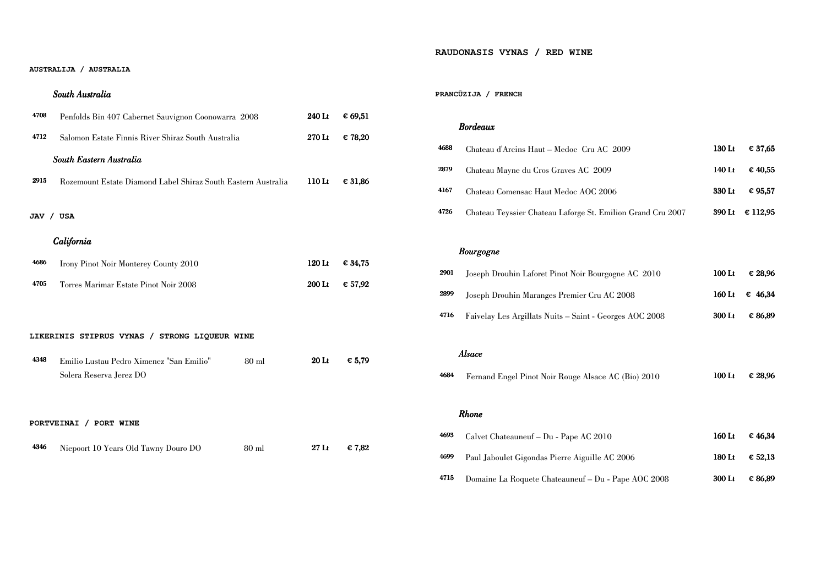#### **AUSTRALIJA / AUSTRALIA**

# South Australia

| 4708 | Penfolds Bin 407 Cabernet Sauvignon Coonowarra 2008                            | 240 Lt            | € 69,51 |
|------|--------------------------------------------------------------------------------|-------------------|---------|
| 4712 | Salomon Estate Finnis River Shiraz South Australia                             | 270 Lt            | € 78,20 |
|      | South Eastern Australia                                                        |                   |         |
| 2915 | Rozemount Estate Diamond Label Shiraz South Eastern Australia                  | 110 <sub>Li</sub> | € 31,86 |
|      | JAV / USA                                                                      |                   |         |
|      | California                                                                     |                   |         |
| 4686 | <b>Irony Pinot Noir Monterey County 2010</b>                                   | $120$ Lt          | € 34,75 |
| 4705 | Torres Marimar Estate Pinot Noir 2008                                          | 200 Lt            | € 57,92 |
|      |                                                                                |                   |         |
|      | LIKERINIS STIPRUS VYNAS / STRONG LIQUEUR WINE                                  |                   |         |
| 4348 | Emilio Lustau Pedro Ximenez "San Emilio"<br>$80$ ml<br>Solera Reserva Jerez DO | 20 <sub>Li</sub>  | € 5,79  |
|      |                                                                                |                   |         |
|      | PORTVEINAI / PORT WINE                                                         |                   |         |
| 4346 | Niepoort 10 Years Old Tawny Douro DO<br>$80$ ml                                | 27 <sub>Lt</sub>  | € 7,82  |

# **RAUDONASIS VYNAS / RED WINE**

### **PRANC**Ū**ZIJA / FRENCH**

# Bordeaux

| 4688 | Chateau d'Arcins Haut – Medoc Cru AC 2009                   | 130 Lt | $\epsilon$ 37,65 |
|------|-------------------------------------------------------------|--------|------------------|
| 2879 | Chateau Mayne du Cros Graves AC 2009                        | 140 Lt | $\epsilon$ 40,55 |
| 4167 | Chateau Comensac Haut Medoc AOC 2006                        | 330 Lt | € 95,57          |
| 4726 | Chateau Teyssier Chateau Laforge St. Emilion Grand Cru 2007 |        | 390 Lt € 112,95  |

# Bourgogne

| <b>2901</b> | Joseph Drouhin Laforet Pinot Noir Bourgogne AC 2010     | $100$ Lt | € 28.96            |
|-------------|---------------------------------------------------------|----------|--------------------|
| 2899        | Joseph Drouhin Maranges Premier Cru AC 2008             |          | 160 Lt $\in$ 46.34 |
| 4716        | Faivelay Les Argillats Nuits - Saint - Georges AOC 2008 | 300 Lt   | € 86.89            |

|      | Alsace                                              |          |         |
|------|-----------------------------------------------------|----------|---------|
| 4684 | Fernand Engel Pinot Noir Rouge Alsace AC (Bio) 2010 | $100$ Lt | € 28,96 |
|      |                                                     |          |         |

# Rhone

| 4693 | Calvet Chateauneuf – Du - Pape AC 2010              | 160 Lt   | $\epsilon$ 46,34 |
|------|-----------------------------------------------------|----------|------------------|
| 4699 | Paul Jaboulet Gigondas Pierre Aiguille AC 2006      | 180 Lt   | $\epsilon$ 52,13 |
| 4715 | Domaine La Roquete Chateauneuf - Du - Pape AOC 2008 | $300$ Lt | € 86,89          |